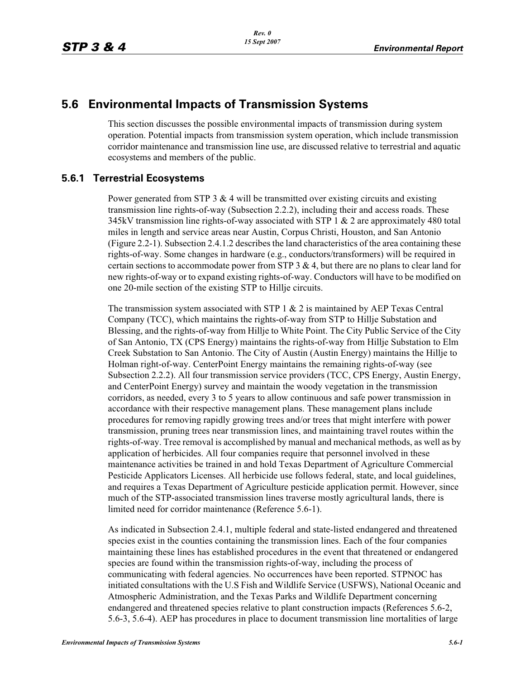# **5.6 Environmental Impacts of Transmission Systems**

This section discusses the possible environmental impacts of transmission during system operation. Potential impacts from transmission system operation, which include transmission corridor maintenance and transmission line use, are discussed relative to terrestrial and aquatic ecosystems and members of the public.

# **5.6.1 Terrestrial Ecosystems**

Power generated from STP 3  $& 4$  will be transmitted over existing circuits and existing transmission line rights-of-way (Subsection 2.2.2), including their and access roads. These 345kV transmission line rights-of-way associated with STP 1  $\&$  2 are approximately 480 total miles in length and service areas near Austin, Corpus Christi, Houston, and San Antonio (Figure 2.2-1). Subsection 2.4.1.2 describes the land characteristics of the area containing these rights-of-way. Some changes in hardware (e.g., conductors/transformers) will be required in certain sections to accommodate power from STP  $3 \& 4$ , but there are no plans to clear land for new rights-of-way or to expand existing rights-of-way. Conductors will have to be modified on one 20-mile section of the existing STP to Hillje circuits.

The transmission system associated with STP  $1 \& 2$  is maintained by AEP Texas Central Company (TCC), which maintains the rights-of-way from STP to Hillje Substation and Blessing, and the rights-of-way from Hillje to White Point. The City Public Service of the City of San Antonio, TX (CPS Energy) maintains the rights-of-way from Hillje Substation to Elm Creek Substation to San Antonio. The City of Austin (Austin Energy) maintains the Hillje to Holman right-of-way. CenterPoint Energy maintains the remaining rights-of-way (see Subsection 2.2.2). All four transmission service providers (TCC, CPS Energy, Austin Energy, and CenterPoint Energy) survey and maintain the woody vegetation in the transmission corridors, as needed, every 3 to 5 years to allow continuous and safe power transmission in accordance with their respective management plans. These management plans include procedures for removing rapidly growing trees and/or trees that might interfere with power transmission, pruning trees near transmission lines, and maintaining travel routes within the rights-of-way. Tree removal is accomplished by manual and mechanical methods, as well as by application of herbicides. All four companies require that personnel involved in these maintenance activities be trained in and hold Texas Department of Agriculture Commercial Pesticide Applicators Licenses. All herbicide use follows federal, state, and local guidelines, and requires a Texas Department of Agriculture pesticide application permit. However, since much of the STP-associated transmission lines traverse mostly agricultural lands, there is limited need for corridor maintenance (Reference 5.6-1).

As indicated in Subsection 2.4.1, multiple federal and state-listed endangered and threatened species exist in the counties containing the transmission lines. Each of the four companies maintaining these lines has established procedures in the event that threatened or endangered species are found within the transmission rights-of-way, including the process of communicating with federal agencies. No occurrences have been reported. STPNOC has initiated consultations with the U.S Fish and Wildlife Service (USFWS), National Oceanic and Atmospheric Administration, and the Texas Parks and Wildlife Department concerning endangered and threatened species relative to plant construction impacts (References 5.6-2, 5.6-3, 5.6-4). AEP has procedures in place to document transmission line mortalities of large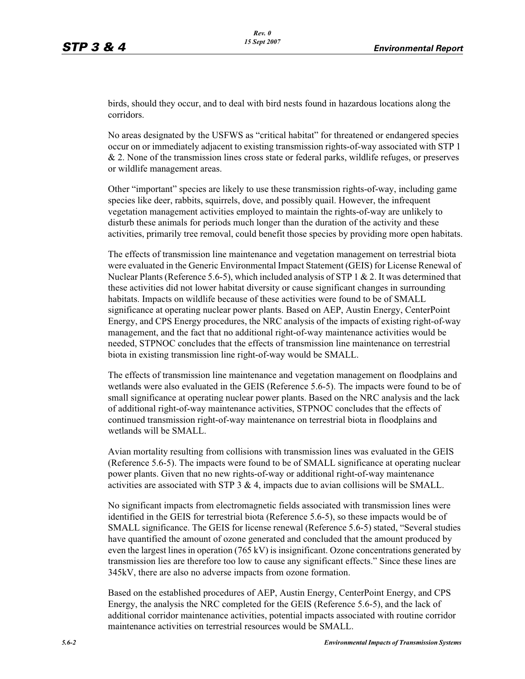birds, should they occur, and to deal with bird nests found in hazardous locations along the corridors.

No areas designated by the USFWS as "critical habitat" for threatened or endangered species occur on or immediately adjacent to existing transmission rights-of-way associated with STP 1 & 2. None of the transmission lines cross state or federal parks, wildlife refuges, or preserves or wildlife management areas.

Other "important" species are likely to use these transmission rights-of-way, including game species like deer, rabbits, squirrels, dove, and possibly quail. However, the infrequent vegetation management activities employed to maintain the rights-of-way are unlikely to disturb these animals for periods much longer than the duration of the activity and these activities, primarily tree removal, could benefit those species by providing more open habitats.

The effects of transmission line maintenance and vegetation management on terrestrial biota were evaluated in the Generic Environmental Impact Statement (GEIS) for License Renewal of Nuclear Plants (Reference 5.6-5), which included analysis of STP  $1 \& 2$ . It was determined that these activities did not lower habitat diversity or cause significant changes in surrounding habitats. Impacts on wildlife because of these activities were found to be of SMALL significance at operating nuclear power plants. Based on AEP, Austin Energy, CenterPoint Energy, and CPS Energy procedures, the NRC analysis of the impacts of existing right-of-way management, and the fact that no additional right-of-way maintenance activities would be needed, STPNOC concludes that the effects of transmission line maintenance on terrestrial biota in existing transmission line right-of-way would be SMALL.

The effects of transmission line maintenance and vegetation management on floodplains and wetlands were also evaluated in the GEIS (Reference 5.6-5). The impacts were found to be of small significance at operating nuclear power plants. Based on the NRC analysis and the lack of additional right-of-way maintenance activities, STPNOC concludes that the effects of continued transmission right-of-way maintenance on terrestrial biota in floodplains and wetlands will be SMALL.

Avian mortality resulting from collisions with transmission lines was evaluated in the GEIS (Reference 5.6-5). The impacts were found to be of SMALL significance at operating nuclear power plants. Given that no new rights-of-way or additional right-of-way maintenance activities are associated with STP  $3 \& 4$ , impacts due to avian collisions will be SMALL.

No significant impacts from electromagnetic fields associated with transmission lines were identified in the GEIS for terrestrial biota (Reference 5.6-5), so these impacts would be of SMALL significance. The GEIS for license renewal (Reference 5.6-5) stated, "Several studies have quantified the amount of ozone generated and concluded that the amount produced by even the largest lines in operation (765 kV) is insignificant. Ozone concentrations generated by transmission lies are therefore too low to cause any significant effects." Since these lines are 345kV, there are also no adverse impacts from ozone formation.

Based on the established procedures of AEP, Austin Energy, CenterPoint Energy, and CPS Energy, the analysis the NRC completed for the GEIS (Reference 5.6-5), and the lack of additional corridor maintenance activities, potential impacts associated with routine corridor maintenance activities on terrestrial resources would be SMALL.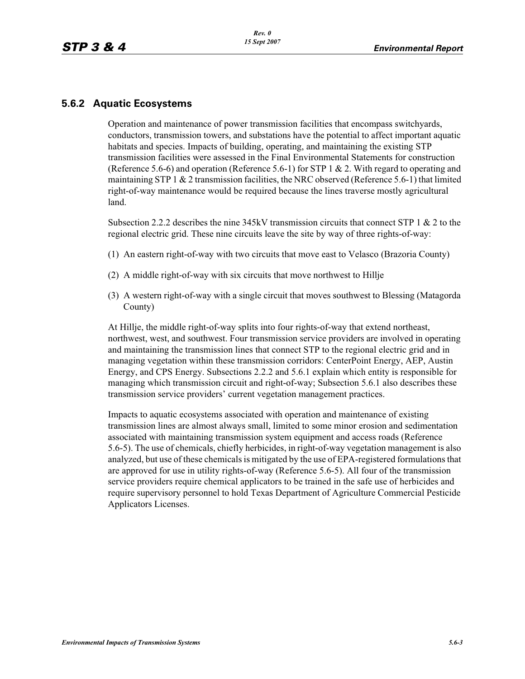# **5.6.2 Aquatic Ecosystems**

Operation and maintenance of power transmission facilities that encompass switchyards, conductors, transmission towers, and substations have the potential to affect important aquatic habitats and species. Impacts of building, operating, and maintaining the existing STP transmission facilities were assessed in the Final Environmental Statements for construction (Reference 5.6-6) and operation (Reference 5.6-1) for STP 1 & 2. With regard to operating and maintaining STP 1  $\&$  2 transmission facilities, the NRC observed (Reference 5.6-1) that limited right-of-way maintenance would be required because the lines traverse mostly agricultural land.

Subsection 2.2.2 describes the nine 345kV transmission circuits that connect STP 1 & 2 to the regional electric grid. These nine circuits leave the site by way of three rights-of-way:

- (1) An eastern right-of-way with two circuits that move east to Velasco (Brazoria County)
- (2) A middle right-of-way with six circuits that move northwest to Hillje
- (3) A western right-of-way with a single circuit that moves southwest to Blessing (Matagorda County)

At Hillje, the middle right-of-way splits into four rights-of-way that extend northeast, northwest, west, and southwest. Four transmission service providers are involved in operating and maintaining the transmission lines that connect STP to the regional electric grid and in managing vegetation within these transmission corridors: CenterPoint Energy, AEP, Austin Energy, and CPS Energy. Subsections 2.2.2 and 5.6.1 explain which entity is responsible for managing which transmission circuit and right-of-way; Subsection 5.6.1 also describes these transmission service providers' current vegetation management practices.

Impacts to aquatic ecosystems associated with operation and maintenance of existing transmission lines are almost always small, limited to some minor erosion and sedimentation associated with maintaining transmission system equipment and access roads (Reference 5.6-5). The use of chemicals, chiefly herbicides, in right-of-way vegetation management is also analyzed, but use of these chemicals is mitigated by the use of EPA-registered formulations that are approved for use in utility rights-of-way (Reference 5.6-5). All four of the transmission service providers require chemical applicators to be trained in the safe use of herbicides and require supervisory personnel to hold Texas Department of Agriculture Commercial Pesticide Applicators Licenses.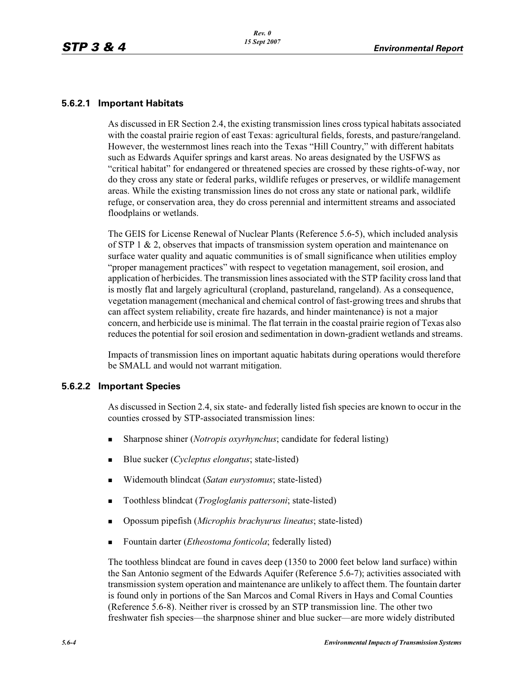### **5.6.2.1 Important Habitats**

As discussed in ER Section 2.4, the existing transmission lines cross typical habitats associated with the coastal prairie region of east Texas: agricultural fields, forests, and pasture/rangeland. However, the westernmost lines reach into the Texas "Hill Country," with different habitats such as Edwards Aquifer springs and karst areas. No areas designated by the USFWS as "critical habitat" for endangered or threatened species are crossed by these rights-of-way, nor do they cross any state or federal parks, wildlife refuges or preserves, or wildlife management areas. While the existing transmission lines do not cross any state or national park, wildlife refuge, or conservation area, they do cross perennial and intermittent streams and associated floodplains or wetlands.

The GEIS for License Renewal of Nuclear Plants (Reference 5.6-5), which included analysis of STP 1 & 2, observes that impacts of transmission system operation and maintenance on surface water quality and aquatic communities is of small significance when utilities employ "proper management practices" with respect to vegetation management, soil erosion, and application of herbicides. The transmission lines associated with the STP facility cross land that is mostly flat and largely agricultural (cropland, pastureland, rangeland). As a consequence, vegetation management (mechanical and chemical control of fast-growing trees and shrubs that can affect system reliability, create fire hazards, and hinder maintenance) is not a major concern, and herbicide use is minimal. The flat terrain in the coastal prairie region of Texas also reduces the potential for soil erosion and sedimentation in down-gradient wetlands and streams.

Impacts of transmission lines on important aquatic habitats during operations would therefore be SMALL and would not warrant mitigation.

#### **5.6.2.2 Important Species**

As discussed in Section 2.4, six state- and federally listed fish species are known to occur in the counties crossed by STP-associated transmission lines:

- -Sharpnose shiner (*Notropis oxyrhynchus*; candidate for federal listing)
- -Blue sucker (*Cycleptus elongatus*; state-listed)
- -Widemouth blindcat (*Satan eurystomus*; state-listed)
- -Toothless blindcat (*Trogloglanis pattersoni*; state-listed)
- -Opossum pipefish (*Microphis brachyurus lineatus*; state-listed)
- -Fountain darter (*Etheostoma fonticola*; federally listed)

The toothless blindcat are found in caves deep (1350 to 2000 feet below land surface) within the San Antonio segment of the Edwards Aquifer (Reference 5.6-7); activities associated with transmission system operation and maintenance are unlikely to affect them. The fountain darter is found only in portions of the San Marcos and Comal Rivers in Hays and Comal Counties (Reference 5.6-8). Neither river is crossed by an STP transmission line. The other two freshwater fish species—the sharpnose shiner and blue sucker—are more widely distributed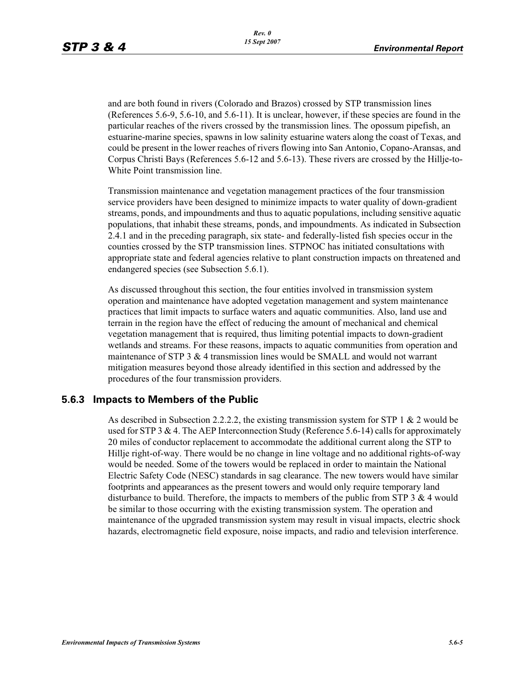and are both found in rivers (Colorado and Brazos) crossed by STP transmission lines (References 5.6-9, 5.6-10, and 5.6-11). It is unclear, however, if these species are found in the particular reaches of the rivers crossed by the transmission lines. The opossum pipefish, an estuarine-marine species, spawns in low salinity estuarine waters along the coast of Texas, and could be present in the lower reaches of rivers flowing into San Antonio, Copano-Aransas, and Corpus Christi Bays (References 5.6-12 and 5.6-13). These rivers are crossed by the Hillje-to-White Point transmission line.

Transmission maintenance and vegetation management practices of the four transmission service providers have been designed to minimize impacts to water quality of down-gradient streams, ponds, and impoundments and thus to aquatic populations, including sensitive aquatic populations, that inhabit these streams, ponds, and impoundments. As indicated in Subsection 2.4.1 and in the preceding paragraph, six state- and federally-listed fish species occur in the counties crossed by the STP transmission lines. STPNOC has initiated consultations with appropriate state and federal agencies relative to plant construction impacts on threatened and endangered species (see Subsection 5.6.1).

As discussed throughout this section, the four entities involved in transmission system operation and maintenance have adopted vegetation management and system maintenance practices that limit impacts to surface waters and aquatic communities. Also, land use and terrain in the region have the effect of reducing the amount of mechanical and chemical vegetation management that is required, thus limiting potential impacts to down-gradient wetlands and streams. For these reasons, impacts to aquatic communities from operation and maintenance of STP 3  $&$  4 transmission lines would be SMALL and would not warrant mitigation measures beyond those already identified in this section and addressed by the procedures of the four transmission providers.

## **5.6.3 Impacts to Members of the Public**

As described in Subsection 2.2.2.2, the existing transmission system for STP 1  $& 2$  would be used for STP 3  $\&$  4. The AEP Interconnection Study (Reference 5.6-14) calls for approximately 20 miles of conductor replacement to accommodate the additional current along the STP to Hillje right-of-way. There would be no change in line voltage and no additional rights-of-way would be needed. Some of the towers would be replaced in order to maintain the National Electric Safety Code (NESC) standards in sag clearance. The new towers would have similar footprints and appearances as the present towers and would only require temporary land disturbance to build. Therefore, the impacts to members of the public from STP 3  $\&$  4 would be similar to those occurring with the existing transmission system. The operation and maintenance of the upgraded transmission system may result in visual impacts, electric shock hazards, electromagnetic field exposure, noise impacts, and radio and television interference.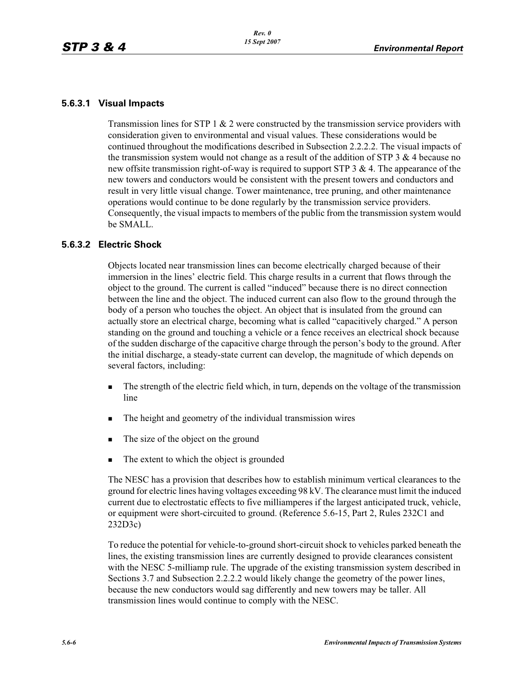#### **5.6.3.1 Visual Impacts**

Transmission lines for STP  $1 \& 2$  were constructed by the transmission service providers with consideration given to environmental and visual values. These considerations would be continued throughout the modifications described in Subsection 2.2.2.2. The visual impacts of the transmission system would not change as a result of the addition of STP  $3 \& 4$  because no new offsite transmission right-of-way is required to support STP 3 & 4. The appearance of the new towers and conductors would be consistent with the present towers and conductors and result in very little visual change. Tower maintenance, tree pruning, and other maintenance operations would continue to be done regularly by the transmission service providers. Consequently, the visual impacts to members of the public from the transmission system would be SMALL.

#### **5.6.3.2 Electric Shock**

Objects located near transmission lines can become electrically charged because of their immersion in the lines' electric field. This charge results in a current that flows through the object to the ground. The current is called "induced" because there is no direct connection between the line and the object. The induced current can also flow to the ground through the body of a person who touches the object. An object that is insulated from the ground can actually store an electrical charge, becoming what is called "capacitively charged." A person standing on the ground and touching a vehicle or a fence receives an electrical shock because of the sudden discharge of the capacitive charge through the person's body to the ground. After the initial discharge, a steady-state current can develop, the magnitude of which depends on several factors, including:

- - The strength of the electric field which, in turn, depends on the voltage of the transmission line
- -The height and geometry of the individual transmission wires
- -The size of the object on the ground
- -The extent to which the object is grounded

The NESC has a provision that describes how to establish minimum vertical clearances to the ground for electric lines having voltages exceeding 98 kV. The clearance must limit the induced current due to electrostatic effects to five milliamperes if the largest anticipated truck, vehicle, or equipment were short-circuited to ground. (Reference 5.6-15, Part 2, Rules 232C1 and 232D3c)

To reduce the potential for vehicle-to-ground short-circuit shock to vehicles parked beneath the lines, the existing transmission lines are currently designed to provide clearances consistent with the NESC 5-milliamp rule. The upgrade of the existing transmission system described in Sections 3.7 and Subsection 2.2.2.2 would likely change the geometry of the power lines, because the new conductors would sag differently and new towers may be taller. All transmission lines would continue to comply with the NESC.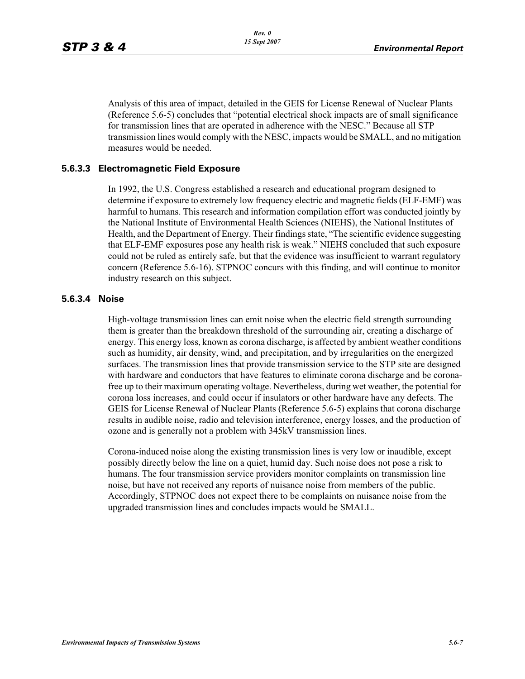Analysis of this area of impact, detailed in the GEIS for License Renewal of Nuclear Plants (Reference 5.6-5) concludes that "potential electrical shock impacts are of small significance for transmission lines that are operated in adherence with the NESC." Because all STP transmission lines would comply with the NESC, impacts would be SMALL, and no mitigation measures would be needed.

#### **5.6.3.3 Electromagnetic Field Exposure**

In 1992, the U.S. Congress established a research and educational program designed to determine if exposure to extremely low frequency electric and magnetic fields (ELF-EMF) was harmful to humans. This research and information compilation effort was conducted jointly by the National Institute of Environmental Health Sciences (NIEHS), the National Institutes of Health, and the Department of Energy. Their findings state, "The scientific evidence suggesting that ELF-EMF exposures pose any health risk is weak." NIEHS concluded that such exposure could not be ruled as entirely safe, but that the evidence was insufficient to warrant regulatory concern (Reference 5.6-16). STPNOC concurs with this finding, and will continue to monitor industry research on this subject.

#### **5.6.3.4 Noise**

High-voltage transmission lines can emit noise when the electric field strength surrounding them is greater than the breakdown threshold of the surrounding air, creating a discharge of energy. This energy loss, known as corona discharge, is affected by ambient weather conditions such as humidity, air density, wind, and precipitation, and by irregularities on the energized surfaces. The transmission lines that provide transmission service to the STP site are designed with hardware and conductors that have features to eliminate corona discharge and be coronafree up to their maximum operating voltage. Nevertheless, during wet weather, the potential for corona loss increases, and could occur if insulators or other hardware have any defects. The GEIS for License Renewal of Nuclear Plants (Reference 5.6-5) explains that corona discharge results in audible noise, radio and television interference, energy losses, and the production of ozone and is generally not a problem with 345kV transmission lines.

Corona-induced noise along the existing transmission lines is very low or inaudible, except possibly directly below the line on a quiet, humid day. Such noise does not pose a risk to humans. The four transmission service providers monitor complaints on transmission line noise, but have not received any reports of nuisance noise from members of the public. Accordingly, STPNOC does not expect there to be complaints on nuisance noise from the upgraded transmission lines and concludes impacts would be SMALL.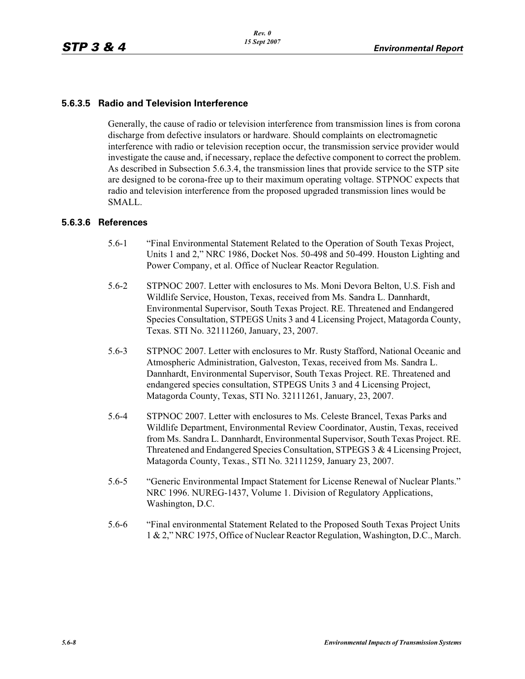## **5.6.3.5 Radio and Television Interference**

Generally, the cause of radio or television interference from transmission lines is from corona discharge from defective insulators or hardware. Should complaints on electromagnetic interference with radio or television reception occur, the transmission service provider would investigate the cause and, if necessary, replace the defective component to correct the problem. As described in Subsection 5.6.3.4, the transmission lines that provide service to the STP site are designed to be corona-free up to their maximum operating voltage. STPNOC expects that radio and television interference from the proposed upgraded transmission lines would be SMALL.

#### **5.6.3.6 References**

- 5.6-1 "Final Environmental Statement Related to the Operation of South Texas Project, Units 1 and 2," NRC 1986, Docket Nos. 50-498 and 50-499. Houston Lighting and Power Company, et al. Office of Nuclear Reactor Regulation.
- 5.6-2 STPNOC 2007. Letter with enclosures to Ms. Moni Devora Belton, U.S. Fish and Wildlife Service, Houston, Texas, received from Ms. Sandra L. Dannhardt, Environmental Supervisor, South Texas Project. RE. Threatened and Endangered Species Consultation, STPEGS Units 3 and 4 Licensing Project, Matagorda County, Texas. STI No. 32111260, January, 23, 2007.
- 5.6-3 STPNOC 2007. Letter with enclosures to Mr. Rusty Stafford, National Oceanic and Atmospheric Administration, Galveston, Texas, received from Ms. Sandra L. Dannhardt, Environmental Supervisor, South Texas Project. RE. Threatened and endangered species consultation, STPEGS Units 3 and 4 Licensing Project, Matagorda County, Texas, STI No. 32111261, January, 23, 2007.
- 5.6-4 STPNOC 2007. Letter with enclosures to Ms. Celeste Brancel, Texas Parks and Wildlife Department, Environmental Review Coordinator, Austin, Texas, received from Ms. Sandra L. Dannhardt, Environmental Supervisor, South Texas Project. RE. Threatened and Endangered Species Consultation, STPEGS 3 & 4 Licensing Project, Matagorda County, Texas., STI No. 32111259, January 23, 2007.
- 5.6-5 "Generic Environmental Impact Statement for License Renewal of Nuclear Plants." NRC 1996. NUREG-1437, Volume 1. Division of Regulatory Applications, Washington, D.C.
- 5.6-6 "Final environmental Statement Related to the Proposed South Texas Project Units 1 & 2," NRC 1975, Office of Nuclear Reactor Regulation, Washington, D.C., March.